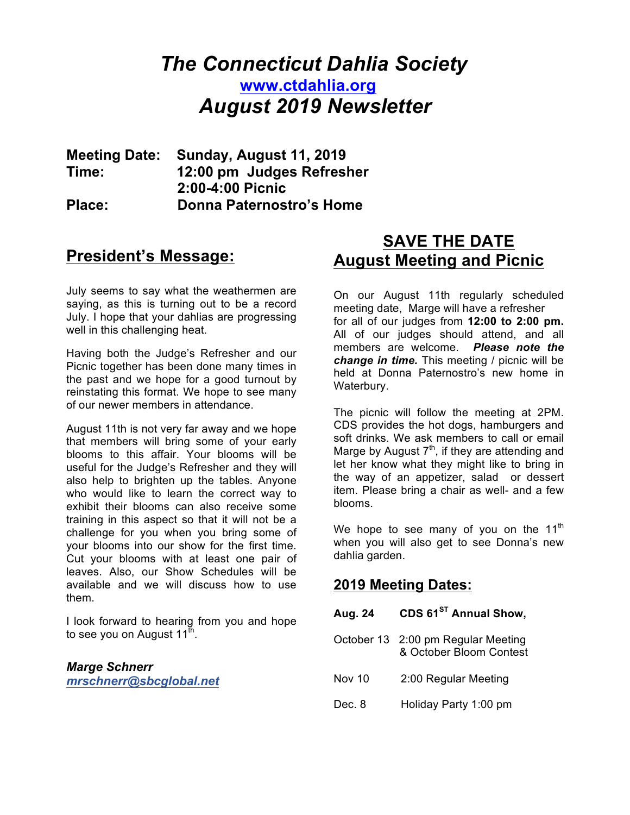# *The Connecticut Dahlia Society* **www.ctdahlia.org** *August 2019 Newsletter*

**Meeting Date: Sunday, August 11, 2019 Time: 12:00 pm Judges Refresher 2:00-4:00 Picnic Place: Donna Paternostro's Home**

## **President's Message:**

July seems to say what the weathermen are saying, as this is turning out to be a record July. I hope that your dahlias are progressing well in this challenging heat.

Having both the Judge's Refresher and our Picnic together has been done many times in the past and we hope for a good turnout by reinstating this format. We hope to see many of our newer members in attendance.

August 11th is not very far away and we hope that members will bring some of your early blooms to this affair. Your blooms will be useful for the Judge's Refresher and they will also help to brighten up the tables. Anyone who would like to learn the correct way to exhibit their blooms can also receive some training in this aspect so that it will not be a challenge for you when you bring some of your blooms into our show for the first time. Cut your blooms with at least one pair of leaves. Also, our Show Schedules will be available and we will discuss how to use them.

I look forward to hearing from you and hope to see you on August  $11^{th}$ .

*Marge Schnerr mrschnerr@sbcglobal.net*

# **SAVE THE DATE August Meeting and Picnic**

On our August 11th regularly scheduled meeting date, Marge will have a refresher for all of our judges from **12:00 to 2:00 pm.**  All of our judges should attend, and all members are welcome. *Please note the change in time.* This meeting / picnic will be held at Donna Paternostro's new home in Waterbury.

The picnic will follow the meeting at 2PM. CDS provides the hot dogs, hamburgers and soft drinks. We ask members to call or email Marge by August  $7<sup>th</sup>$ , if they are attending and let her know what they might like to bring in the way of an appetizer, salad or dessert item. Please bring a chair as well- and a few blooms.

We hope to see many of you on the  $11<sup>th</sup>$ when you will also get to see Donna's new dahlia garden.

### **2019 Meeting Dates:**

| Aug. 24       | CDS 61 <sup>ST</sup> Annual Show,                             |
|---------------|---------------------------------------------------------------|
|               | October 13 2:00 pm Regular Meeting<br>& October Bloom Contest |
| <b>Nov 10</b> | 2:00 Regular Meeting                                          |
| Dec. 8        | Holiday Party 1:00 pm                                         |